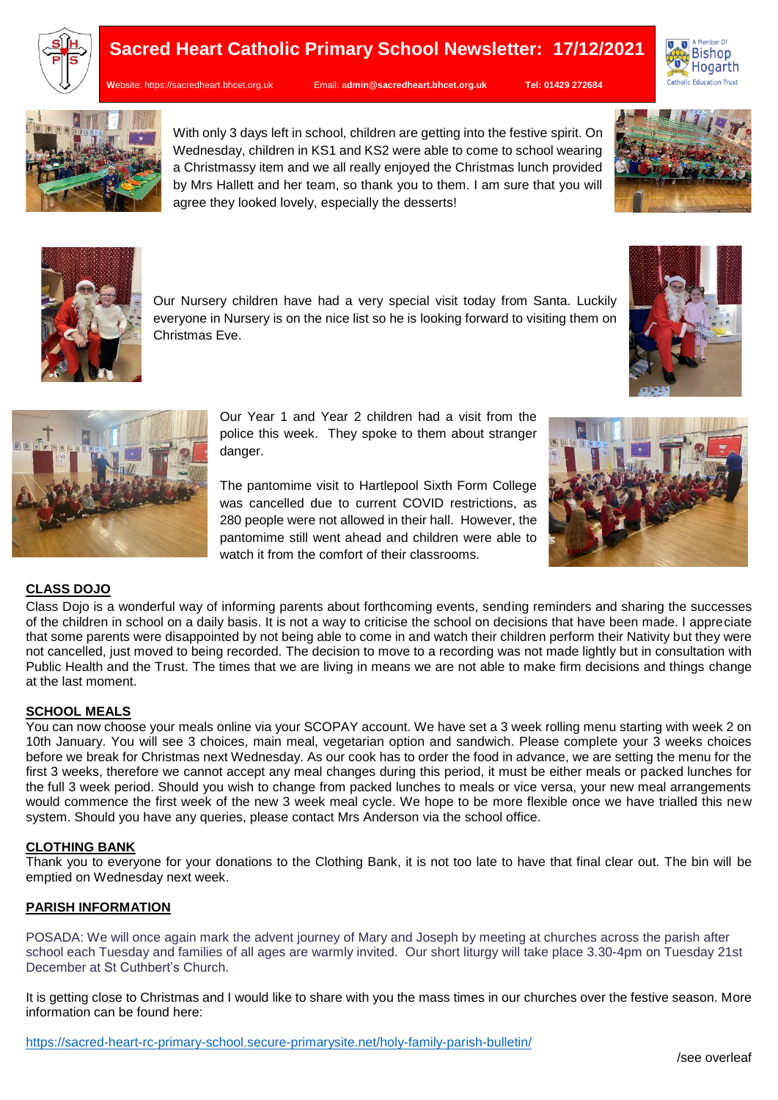

# **Sacred Heart Catholic Primary School Newsletter: 17/12/2021**

**W**ebsite: [https://sacredheart.bhcet.org.uk](https://sacredheart.bhcet.org.uk/) Email: a**[dmin@sacredheart.bhcet.org.uk](mailto:admin@sacredheart.bhcet.org.uk) Tel: 01429 272684**





With only 3 days left in school, children are getting into the festive spirit. On Wednesday, children in KS1 and KS2 were able to come to school wearing a Christmassy item and we all really enjoyed the Christmas lunch provided by Mrs Hallett and her team, so thank you to them. I am sure that you will agree they looked lovely, especially the desserts!







everyone in Nursery is on the nice list so he is looking forward to visiting them on Christmas Eve.

> Our Year 1 and Year 2 children had a visit from the police this week. They spoke to them about stranger danger.

> The pantomime visit to Hartlepool Sixth Form College was cancelled due to current COVID restrictions, as 280 people were not allowed in their hall. However, the pantomime still went ahead and children were able to watch it from the comfort of their classrooms.



### **CLASS DOJO**

Class Dojo is a wonderful way of informing parents about forthcoming events, sending reminders and sharing the successes of the children in school on a daily basis. It is not a way to criticise the school on decisions that have been made. I appreciate that some parents were disappointed by not being able to come in and watch their children perform their Nativity but they were not cancelled, just moved to being recorded. The decision to move to a recording was not made lightly but in consultation with Public Health and the Trust. The times that we are living in means we are not able to make firm decisions and things change at the last moment.

## **SCHOOL MEALS**

You can now choose your meals online via your SCOPAY account. We have set a 3 week rolling menu starting with week 2 on 10th January. You will see 3 choices, main meal, vegetarian option and sandwich. Please complete your 3 weeks choices before we break for Christmas next Wednesday. As our cook has to order the food in advance, we are setting the menu for the first 3 weeks, therefore we cannot accept any meal changes during this period, it must be either meals or packed lunches for the full 3 week period. Should you wish to change from packed lunches to meals or vice versa, your new meal arrangements would commence the first week of the new 3 week meal cycle. We hope to be more flexible once we have trialled this new system. Should you have any queries, please contact Mrs Anderson via the school office.

#### **CLOTHING BANK**

Thank you to everyone for your donations to the Clothing Bank, it is not too late to have that final clear out. The bin will be emptied on Wednesday next week.

#### **PARISH INFORMATION**

POSADA: We will once again mark the advent journey of Mary and Joseph by meeting at churches across the parish after school each Tuesday and families of all ages are warmly invited. Our short liturgy will take place 3.30-4pm on Tuesday 21st December at St Cuthbert's Church.

It is getting close to Christmas and I would like to share with you the mass times in our churches over the festive season. More information can be found here: